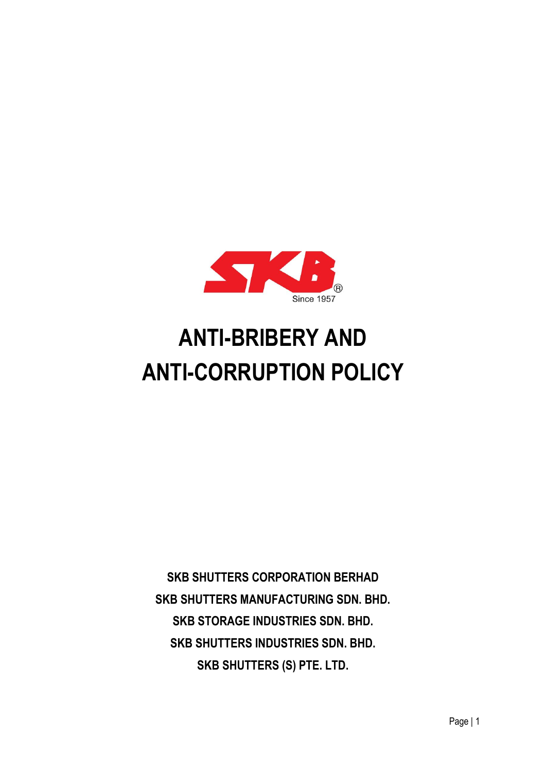

# **ANTI-BRIBERY AND ANTI-CORRUPTION POLICY**

**SKB SHUTTERS CORPORATION BERHAD SKB SHUTTERS MANUFACTURING SDN. BHD. SKB STORAGE INDUSTRIES SDN. BHD. SKB SHUTTERS INDUSTRIES SDN. BHD. SKB SHUTTERS (S) PTE. LTD.**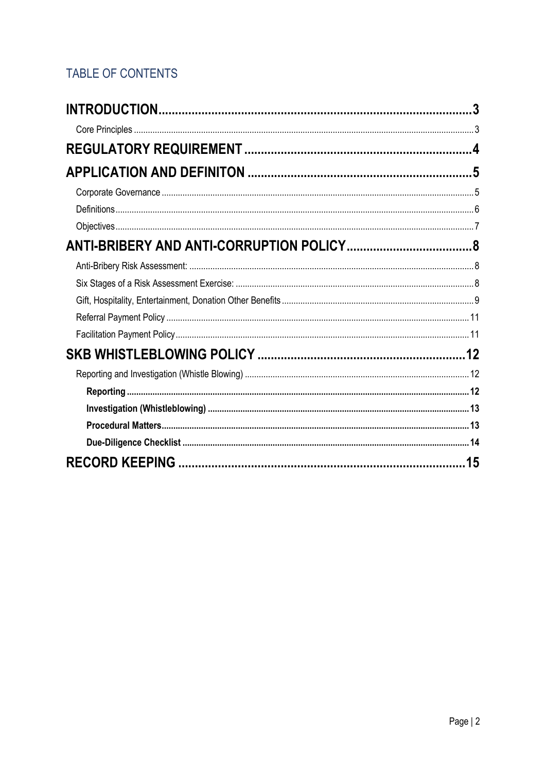## TABLE OF CONTENTS

| 3  |
|----|
|    |
|    |
|    |
|    |
|    |
|    |
|    |
|    |
|    |
|    |
|    |
|    |
|    |
|    |
|    |
|    |
|    |
|    |
| 15 |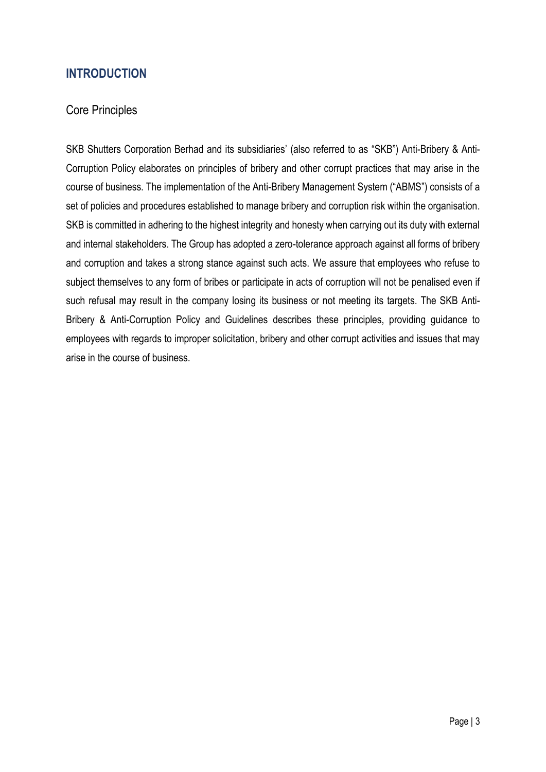## <span id="page-2-0"></span>**INTRODUCTION**

#### <span id="page-2-1"></span>Core Principles

SKB Shutters Corporation Berhad and its subsidiaries' (also referred to as "SKB") Anti-Bribery & Anti-Corruption Policy elaborates on principles of bribery and other corrupt practices that may arise in the course of business. The implementation of the Anti-Bribery Management System ("ABMS") consists of a set of policies and procedures established to manage bribery and corruption risk within the organisation. SKB is committed in adhering to the highest integrity and honesty when carrying out its duty with external and internal stakeholders. The Group has adopted a zero-tolerance approach against all forms of bribery and corruption and takes a strong stance against such acts. We assure that employees who refuse to subject themselves to any form of bribes or participate in acts of corruption will not be penalised even if such refusal may result in the company losing its business or not meeting its targets. The SKB Anti-Bribery & Anti-Corruption Policy and Guidelines describes these principles, providing guidance to employees with regards to improper solicitation, bribery and other corrupt activities and issues that may arise in the course of business.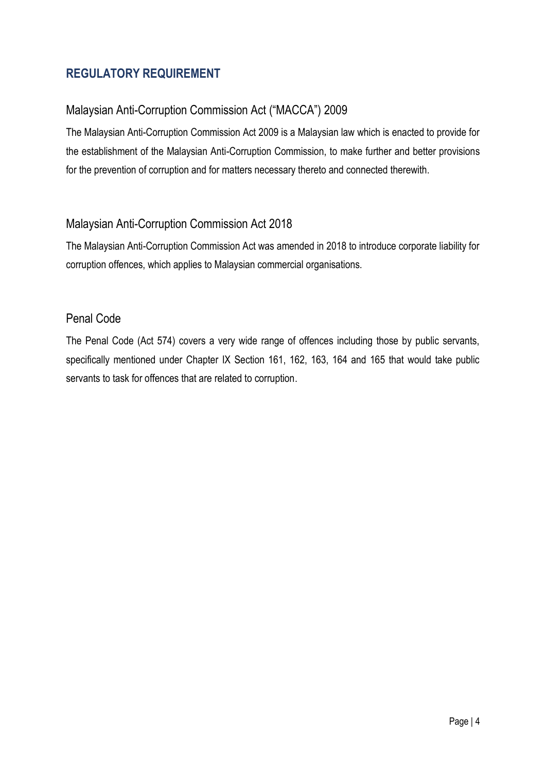## <span id="page-3-0"></span>**REGULATORY REQUIREMENT**

## Malaysian Anti-Corruption Commission Act ("MACCA") 2009

The Malaysian Anti-Corruption Commission Act 2009 is a Malaysian law which is enacted to provide for the establishment of the Malaysian Anti-Corruption Commission, to make further and better provisions for the prevention of corruption and for matters necessary thereto and connected therewith.

#### Malaysian Anti-Corruption Commission Act 2018

The Malaysian Anti-Corruption Commission Act was amended in 2018 to introduce corporate liability for corruption offences, which applies to Malaysian commercial organisations.

#### Penal Code

The Penal Code (Act 574) covers a very wide range of offences including those by public servants, specifically mentioned under Chapter IX Section 161, 162, 163, 164 and 165 that would take public servants to task for offences that are related to corruption.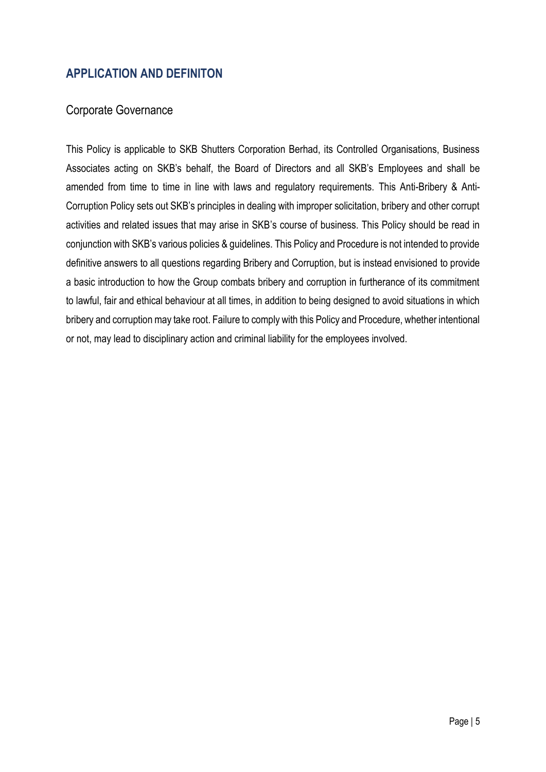## <span id="page-4-0"></span>**APPLICATION AND DEFINITON**

#### <span id="page-4-1"></span>Corporate Governance

This Policy is applicable to SKB Shutters Corporation Berhad, its Controlled Organisations, Business Associates acting on SKB's behalf, the Board of Directors and all SKB's Employees and shall be amended from time to time in line with laws and regulatory requirements. This Anti-Bribery & Anti-Corruption Policy sets out SKB's principles in dealing with improper solicitation, bribery and other corrupt activities and related issues that may arise in SKB's course of business. This Policy should be read in conjunction with SKB's various policies & guidelines. This Policy and Procedure is not intended to provide definitive answers to all questions regarding Bribery and Corruption, but is instead envisioned to provide a basic introduction to how the Group combats bribery and corruption in furtherance of its commitment to lawful, fair and ethical behaviour at all times, in addition to being designed to avoid situations in which bribery and corruption may take root. Failure to comply with this Policy and Procedure, whether intentional or not, may lead to disciplinary action and criminal liability for the employees involved.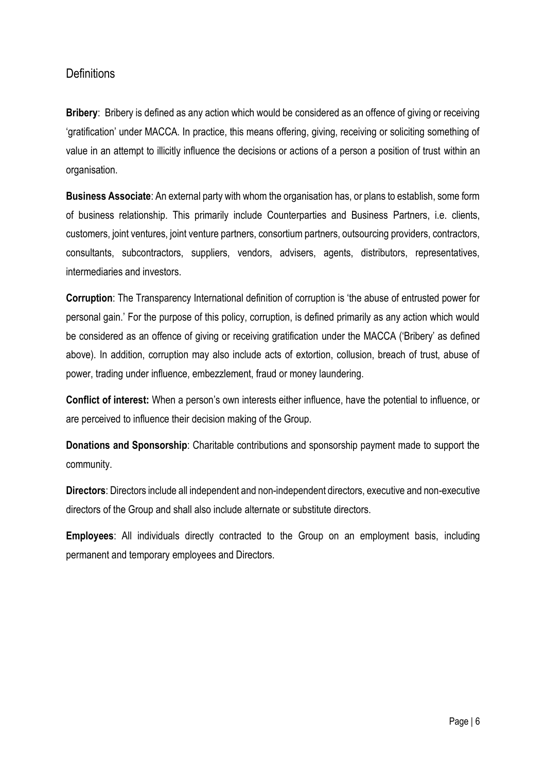#### <span id="page-5-0"></span>**Definitions**

**Bribery**: Bribery is defined as any action which would be considered as an offence of giving or receiving 'gratification' under MACCA. In practice, this means offering, giving, receiving or soliciting something of value in an attempt to illicitly influence the decisions or actions of a person a position of trust within an organisation.

**Business Associate**: An external party with whom the organisation has, or plans to establish, some form of business relationship. This primarily include Counterparties and Business Partners, i.e. clients, customers, joint ventures, joint venture partners, consortium partners, outsourcing providers, contractors, consultants, subcontractors, suppliers, vendors, advisers, agents, distributors, representatives, intermediaries and investors.

**Corruption**: The Transparency International definition of corruption is 'the abuse of entrusted power for personal gain.' For the purpose of this policy, corruption, is defined primarily as any action which would be considered as an offence of giving or receiving gratification under the MACCA ('Bribery' as defined above). In addition, corruption may also include acts of extortion, collusion, breach of trust, abuse of power, trading under influence, embezzlement, fraud or money laundering.

**Conflict of interest:** When a person's own interests either influence, have the potential to influence, or are perceived to influence their decision making of the Group.

**Donations and Sponsorship:** Charitable contributions and sponsorship payment made to support the community.

**Directors**: Directors include all independent and non-independent directors, executive and non-executive directors of the Group and shall also include alternate or substitute directors.

**Employees**: All individuals directly contracted to the Group on an employment basis, including permanent and temporary employees and Directors.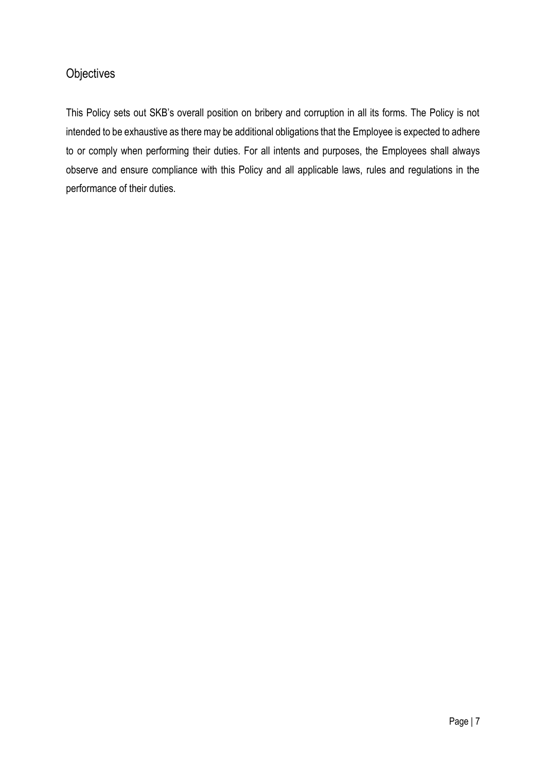## <span id="page-6-0"></span>**Objectives**

This Policy sets out SKB's overall position on bribery and corruption in all its forms. The Policy is not intended to be exhaustive as there may be additional obligations that the Employee is expected to adhere to or comply when performing their duties. For all intents and purposes, the Employees shall always observe and ensure compliance with this Policy and all applicable laws, rules and regulations in the performance of their duties.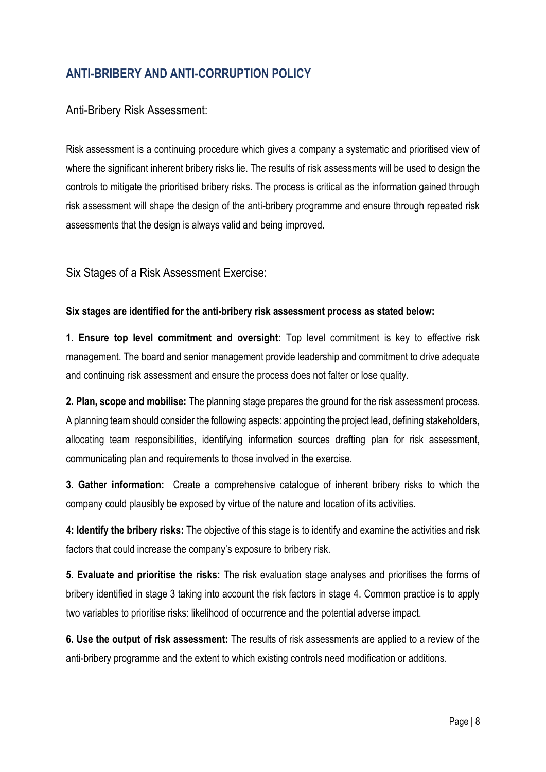## <span id="page-7-0"></span>**ANTI-BRIBERY AND ANTI-CORRUPTION POLICY**

#### <span id="page-7-1"></span>Anti-Bribery Risk Assessment:

Risk assessment is a continuing procedure which gives a company a systematic and prioritised view of where the significant inherent bribery risks lie. The results of risk assessments will be used to design the controls to mitigate the prioritised bribery risks. The process is critical as the information gained through risk assessment will shape the design of the anti-bribery programme and ensure through repeated risk assessments that the design is always valid and being improved.

<span id="page-7-2"></span>Six Stages of a Risk Assessment Exercise:

#### **Six stages are identified for the anti-bribery risk assessment process as stated below:**

**1. Ensure top level commitment and oversight:** Top level commitment is key to effective risk management. The board and senior management provide leadership and commitment to drive adequate and continuing risk assessment and ensure the process does not falter or lose quality.

**2. Plan, scope and mobilise:** The planning stage prepares the ground for the risk assessment process. A planning team should consider the following aspects: appointing the project lead, defining stakeholders, allocating team responsibilities, identifying information sources drafting plan for risk assessment, communicating plan and requirements to those involved in the exercise.

**3. Gather information:** Create a comprehensive catalogue of inherent bribery risks to which the company could plausibly be exposed by virtue of the nature and location of its activities.

**4: Identify the bribery risks:** The objective of this stage is to identify and examine the activities and risk factors that could increase the company's exposure to bribery risk.

**5. Evaluate and prioritise the risks:** The risk evaluation stage analyses and prioritises the forms of bribery identified in stage 3 taking into account the risk factors in stage 4. Common practice is to apply two variables to prioritise risks: likelihood of occurrence and the potential adverse impact.

**6. Use the output of risk assessment:** The results of risk assessments are applied to a review of the anti-bribery programme and the extent to which existing controls need modification or additions.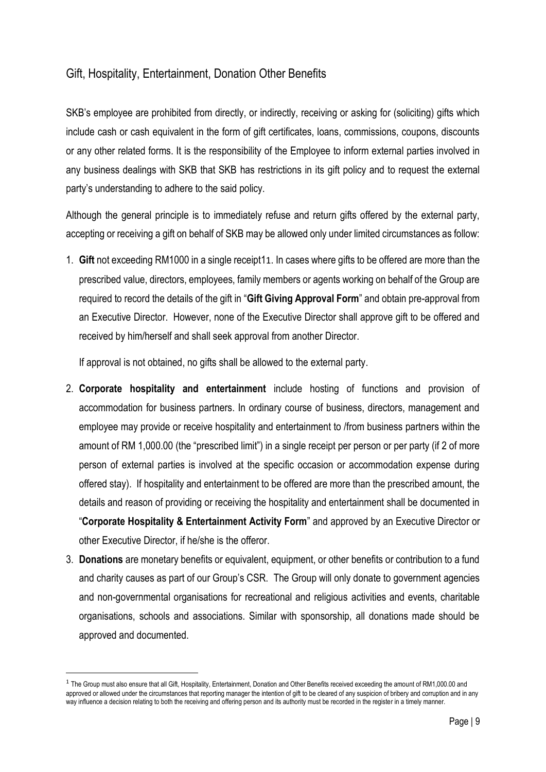## <span id="page-8-0"></span>Gift, Hospitality, Entertainment, Donation Other Benefits

SKB's employee are prohibited from directly, or indirectly, receiving or asking for (soliciting) gifts which include cash or cash equivalent in the form of gift certificates, loans, commissions, coupons, discounts or any other related forms. It is the responsibility of the Employee to inform external parties involved in any business dealings with SKB that SKB has restrictions in its gift policy and to request the external party's understanding to adhere to the said policy.

Although the general principle is to immediately refuse and return gifts offered by the external party, accepting or receiving a gift on behalf of SKB may be allowed only under limited circumstances as follow:

1. **Gift** not exceeding RM1000 in a single receipt11. In cases where gifts to be offered are more than the prescribed value, directors, employees, family members or agents working on behalf of the Group are required to record the details of the gift in "**Gift Giving Approval Form**" and obtain pre-approval from an Executive Director. However, none of the Executive Director shall approve gift to be offered and received by him/herself and shall seek approval from another Director.

If approval is not obtained, no gifts shall be allowed to the external party.

- 2. **Corporate hospitality and entertainment** include hosting of functions and provision of accommodation for business partners. In ordinary course of business, directors, management and employee may provide or receive hospitality and entertainment to /from business partners within the amount of RM 1,000.00 (the "prescribed limit") in a single receipt per person or per party (if 2 of more person of external parties is involved at the specific occasion or accommodation expense during offered stay). If hospitality and entertainment to be offered are more than the prescribed amount, the details and reason of providing or receiving the hospitality and entertainment shall be documented in "**Corporate Hospitality & Entertainment Activity Form**" and approved by an Executive Director or other Executive Director, if he/she is the offeror.
- 3. **Donations** are monetary benefits or equivalent, equipment, or other benefits or contribution to a fund and charity causes as part of our Group's CSR. The Group will only donate to government agencies and non-governmental organisations for recreational and religious activities and events, charitable organisations, schools and associations. Similar with sponsorship, all donations made should be approved and documented.

<sup>&</sup>lt;sup>1</sup> The Group must also ensure that all Gift, Hospitality, Entertainment, Donation and Other Benefits received exceeding the amount of RM1,000.00 and approved or allowed under the circumstances that reporting manager the intention of gift to be cleared of any suspicion of bribery and corruption and in any way influence a decision relating to both the receiving and offering person and its authority must be recorded in the register in a timely manner.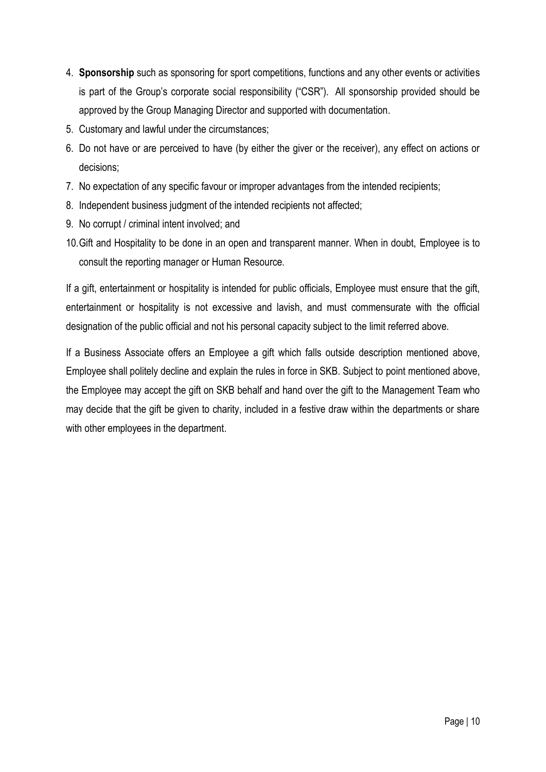- 4. **Sponsorship** such as sponsoring for sport competitions, functions and any other events or activities is part of the Group's corporate social responsibility ("CSR"). All sponsorship provided should be approved by the Group Managing Director and supported with documentation.
- 5. Customary and lawful under the circumstances;
- 6. Do not have or are perceived to have (by either the giver or the receiver), any effect on actions or decisions;
- 7. No expectation of any specific favour or improper advantages from the intended recipients;
- 8. Independent business judgment of the intended recipients not affected;
- 9. No corrupt / criminal intent involved; and
- 10.Gift and Hospitality to be done in an open and transparent manner. When in doubt, Employee is to consult the reporting manager or Human Resource.

If a gift, entertainment or hospitality is intended for public officials, Employee must ensure that the gift, entertainment or hospitality is not excessive and lavish, and must commensurate with the official designation of the public official and not his personal capacity subject to the limit referred above.

If a Business Associate offers an Employee a gift which falls outside description mentioned above, Employee shall politely decline and explain the rules in force in SKB. Subject to point mentioned above, the Employee may accept the gift on SKB behalf and hand over the gift to the Management Team who may decide that the gift be given to charity, included in a festive draw within the departments or share with other employees in the department.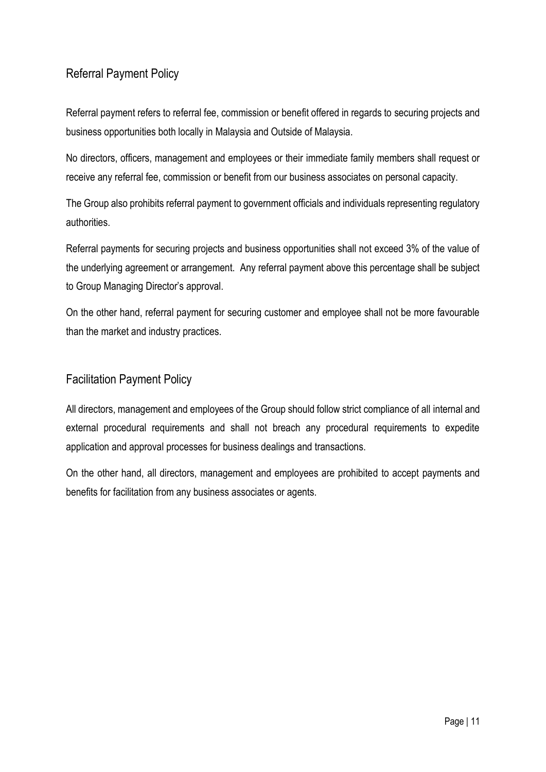## <span id="page-10-0"></span>Referral Payment Policy

Referral payment refers to referral fee, commission or benefit offered in regards to securing projects and business opportunities both locally in Malaysia and Outside of Malaysia.

No directors, officers, management and employees or their immediate family members shall request or receive any referral fee, commission or benefit from our business associates on personal capacity.

The Group also prohibits referral payment to government officials and individuals representing regulatory authorities.

Referral payments for securing projects and business opportunities shall not exceed 3% of the value of the underlying agreement or arrangement. Any referral payment above this percentage shall be subject to Group Managing Director's approval.

On the other hand, referral payment for securing customer and employee shall not be more favourable than the market and industry practices.

## <span id="page-10-1"></span>Facilitation Payment Policy

All directors, management and employees of the Group should follow strict compliance of all internal and external procedural requirements and shall not breach any procedural requirements to expedite application and approval processes for business dealings and transactions.

On the other hand, all directors, management and employees are prohibited to accept payments and benefits for facilitation from any business associates or agents.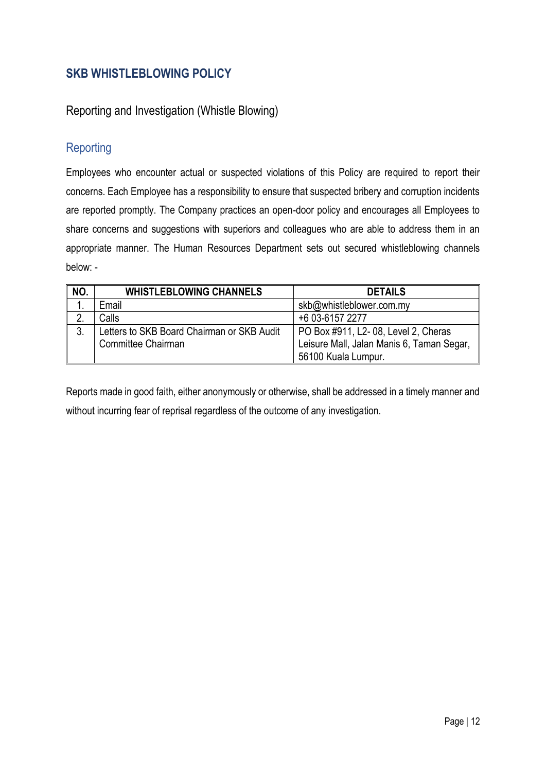## <span id="page-11-0"></span>**SKB WHISTLEBLOWING POLICY**

#### <span id="page-11-1"></span>Reporting and Investigation (Whistle Blowing)

## <span id="page-11-2"></span>**Reporting**

Employees who encounter actual or suspected violations of this Policy are required to report their concerns. Each Employee has a responsibility to ensure that suspected bribery and corruption incidents are reported promptly. The Company practices an open-door policy and encourages all Employees to share concerns and suggestions with superiors and colleagues who are able to address them in an appropriate manner. The Human Resources Department sets out secured whistleblowing channels below: -

| NO. | <b>WHISTLEBLOWING CHANNELS</b>             | <b>DETAILS</b>                            |
|-----|--------------------------------------------|-------------------------------------------|
|     | Email                                      | skb@whistleblower.com.my                  |
| n   | Calls                                      | +6 03-6157 2277                           |
| 3.  | Letters to SKB Board Chairman or SKB Audit | PO Box #911, L2-08, Level 2, Cheras       |
|     | Committee Chairman                         | Leisure Mall, Jalan Manis 6, Taman Segar, |
|     |                                            | 56100 Kuala Lumpur.                       |

Reports made in good faith, either anonymously or otherwise, shall be addressed in a timely manner and without incurring fear of reprisal regardless of the outcome of any investigation.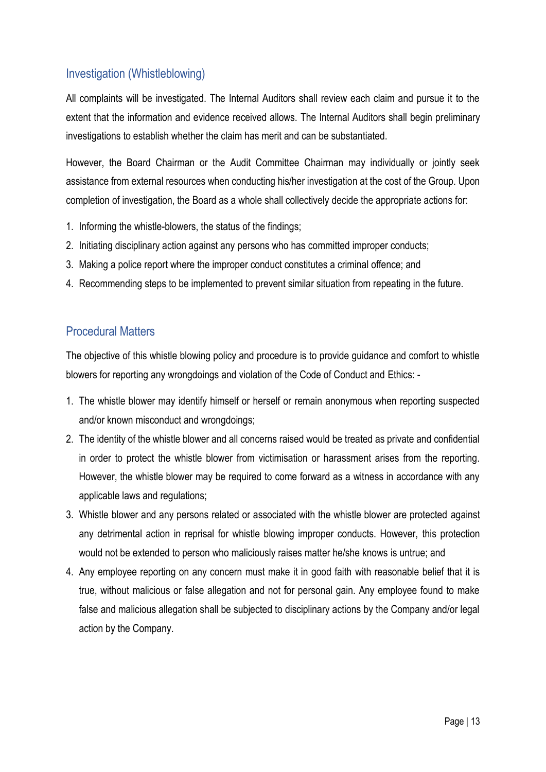## <span id="page-12-0"></span>Investigation (Whistleblowing)

All complaints will be investigated. The Internal Auditors shall review each claim and pursue it to the extent that the information and evidence received allows. The Internal Auditors shall begin preliminary investigations to establish whether the claim has merit and can be substantiated.

However, the Board Chairman or the Audit Committee Chairman may individually or jointly seek assistance from external resources when conducting his/her investigation at the cost of the Group. Upon completion of investigation, the Board as a whole shall collectively decide the appropriate actions for:

- 1. Informing the whistle-blowers, the status of the findings;
- 2. Initiating disciplinary action against any persons who has committed improper conducts;
- 3. Making a police report where the improper conduct constitutes a criminal offence; and
- 4. Recommending steps to be implemented to prevent similar situation from repeating in the future.

## <span id="page-12-1"></span>Procedural Matters

The objective of this whistle blowing policy and procedure is to provide guidance and comfort to whistle blowers for reporting any wrongdoings and violation of the Code of Conduct and Ethics: -

- 1. The whistle blower may identify himself or herself or remain anonymous when reporting suspected and/or known misconduct and wrongdoings;
- 2. The identity of the whistle blower and all concerns raised would be treated as private and confidential in order to protect the whistle blower from victimisation or harassment arises from the reporting. However, the whistle blower may be required to come forward as a witness in accordance with any applicable laws and regulations;
- 3. Whistle blower and any persons related or associated with the whistle blower are protected against any detrimental action in reprisal for whistle blowing improper conducts. However, this protection would not be extended to person who maliciously raises matter he/she knows is untrue; and
- 4. Any employee reporting on any concern must make it in good faith with reasonable belief that it is true, without malicious or false allegation and not for personal gain. Any employee found to make false and malicious allegation shall be subjected to disciplinary actions by the Company and/or legal action by the Company.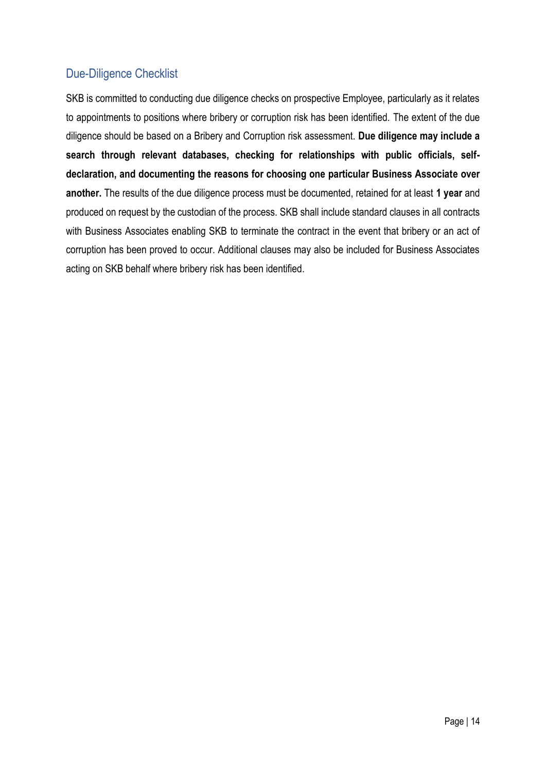## <span id="page-13-0"></span>Due-Diligence Checklist

SKB is committed to conducting due diligence checks on prospective Employee, particularly as it relates to appointments to positions where bribery or corruption risk has been identified. The extent of the due diligence should be based on a Bribery and Corruption risk assessment. **Due diligence may include a search through relevant databases, checking for relationships with public officials, selfdeclaration, and documenting the reasons for choosing one particular Business Associate over another.** The results of the due diligence process must be documented, retained for at least **1 year** and produced on request by the custodian of the process. SKB shall include standard clauses in all contracts with Business Associates enabling SKB to terminate the contract in the event that bribery or an act of corruption has been proved to occur. Additional clauses may also be included for Business Associates acting on SKB behalf where bribery risk has been identified.